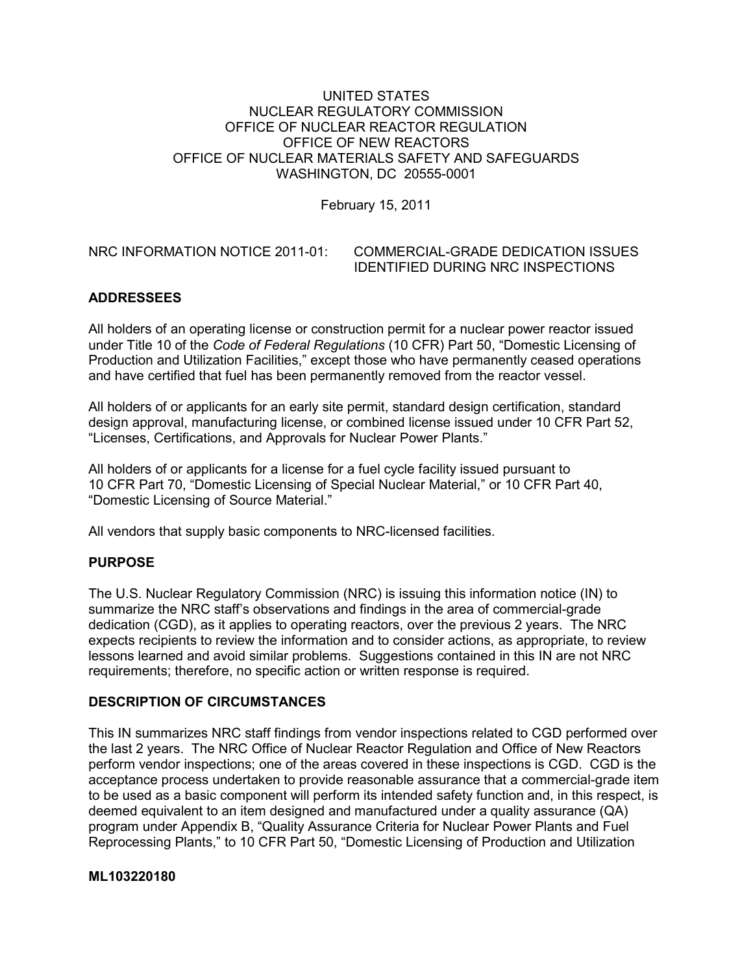## UNITED STATES NUCLEAR REGULATORY COMMISSION OFFICE OF NUCLEAR REACTOR REGULATION OFFICE OF NEW REACTORS OFFICE OF NUCLEAR MATERIALS SAFETY AND SAFEGUARDS WASHINGTON, DC 20555-0001

February 15, 2011

## NRC INFORMATION NOTICE 2011-01: COMMERCIAL-GRADE DEDICATION ISSUES IDENTIFIED DURING NRC INSPECTIONS

# **ADDRESSEES**

All holders of an operating license or construction permit for a nuclear power reactor issued under Title 10 of the *Code of Federal Regulations* (10 CFR) Part 50, "Domestic Licensing of Production and Utilization Facilities," except those who have permanently ceased operations and have certified that fuel has been permanently removed from the reactor vessel.

All holders of or applicants for an early site permit, standard design certification, standard design approval, manufacturing license, or combined license issued under 10 CFR Part 52, "Licenses, Certifications, and Approvals for Nuclear Power Plants."

All holders of or applicants for a license for a fuel cycle facility issued pursuant to 10 CFR Part 70, "Domestic Licensing of Special Nuclear Material," or 10 CFR Part 40, "Domestic Licensing of Source Material."

All vendors that supply basic components to NRC-licensed facilities.

# **PURPOSE**

The U.S. Nuclear Regulatory Commission (NRC) is issuing this information notice (IN) to summarize the NRC staff's observations and findings in the area of commercial-grade dedication (CGD), as it applies to operating reactors, over the previous 2 years. The NRC expects recipients to review the information and to consider actions, as appropriate, to review lessons learned and avoid similar problems. Suggestions contained in this IN are not NRC requirements; therefore, no specific action or written response is required.

# **DESCRIPTION OF CIRCUMSTANCES**

This IN summarizes NRC staff findings from vendor inspections related to CGD performed over the last 2 years. The NRC Office of Nuclear Reactor Regulation and Office of New Reactors perform vendor inspections; one of the areas covered in these inspections is CGD. CGD is the acceptance process undertaken to provide reasonable assurance that a commercial-grade item to be used as a basic component will perform its intended safety function and, in this respect, is deemed equivalent to an item designed and manufactured under a quality assurance (QA) program under Appendix B, "Quality Assurance Criteria for Nuclear Power Plants and Fuel Reprocessing Plants," to 10 CFR Part 50, "Domestic Licensing of Production and Utilization

## **ML103220180**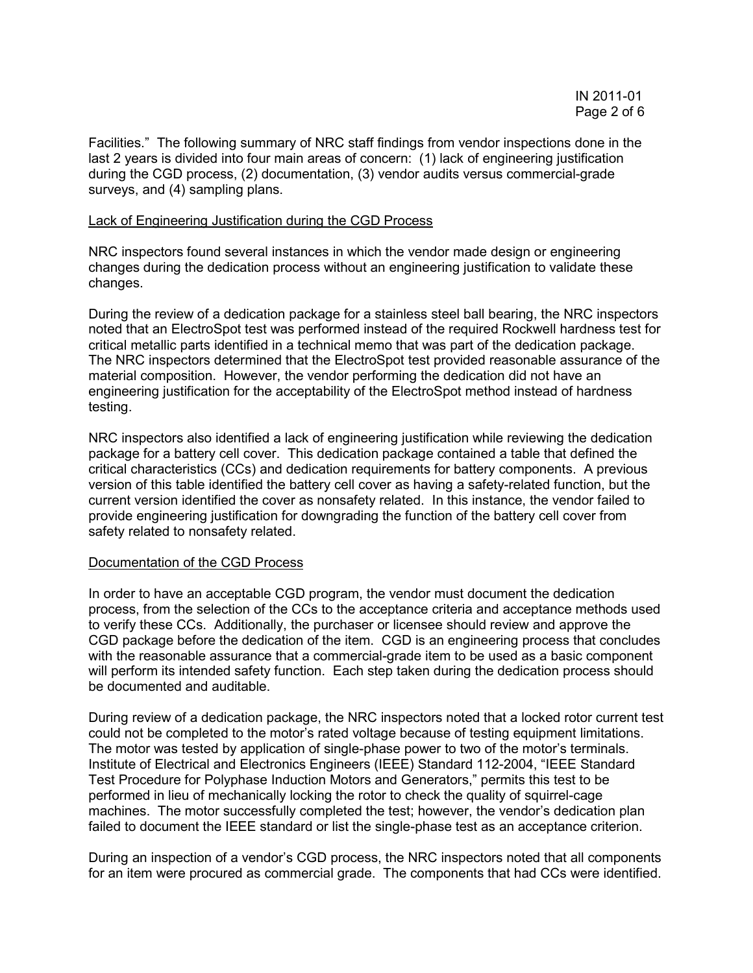Facilities." The following summary of NRC staff findings from vendor inspections done in the last 2 years is divided into four main areas of concern: (1) lack of engineering justification during the CGD process, (2) documentation, (3) vendor audits versus commercial-grade surveys, and (4) sampling plans.

#### Lack of Engineering Justification during the CGD Process

NRC inspectors found several instances in which the vendor made design or engineering changes during the dedication process without an engineering justification to validate these changes.

During the review of a dedication package for a stainless steel ball bearing, the NRC inspectors noted that an ElectroSpot test was performed instead of the required Rockwell hardness test for critical metallic parts identified in a technical memo that was part of the dedication package. The NRC inspectors determined that the ElectroSpot test provided reasonable assurance of the material composition. However, the vendor performing the dedication did not have an engineering justification for the acceptability of the ElectroSpot method instead of hardness testing.

NRC inspectors also identified a lack of engineering justification while reviewing the dedication package for a battery cell cover. This dedication package contained a table that defined the critical characteristics (CCs) and dedication requirements for battery components. A previous version of this table identified the battery cell cover as having a safety-related function, but the current version identified the cover as nonsafety related. In this instance, the vendor failed to provide engineering justification for downgrading the function of the battery cell cover from safety related to nonsafety related.

## Documentation of the CGD Process

In order to have an acceptable CGD program, the vendor must document the dedication process, from the selection of the CCs to the acceptance criteria and acceptance methods used to verify these CCs. Additionally, the purchaser or licensee should review and approve the CGD package before the dedication of the item. CGD is an engineering process that concludes with the reasonable assurance that a commercial-grade item to be used as a basic component will perform its intended safety function. Each step taken during the dedication process should be documented and auditable.

During review of a dedication package, the NRC inspectors noted that a locked rotor current test could not be completed to the motor's rated voltage because of testing equipment limitations. The motor was tested by application of single-phase power to two of the motor's terminals. Institute of Electrical and Electronics Engineers (IEEE) Standard 112-2004, "IEEE Standard Test Procedure for Polyphase Induction Motors and Generators," permits this test to be performed in lieu of mechanically locking the rotor to check the quality of squirrel-cage machines. The motor successfully completed the test; however, the vendor's dedication plan failed to document the IEEE standard or list the single-phase test as an acceptance criterion.

During an inspection of a vendor's CGD process, the NRC inspectors noted that all components for an item were procured as commercial grade. The components that had CCs were identified.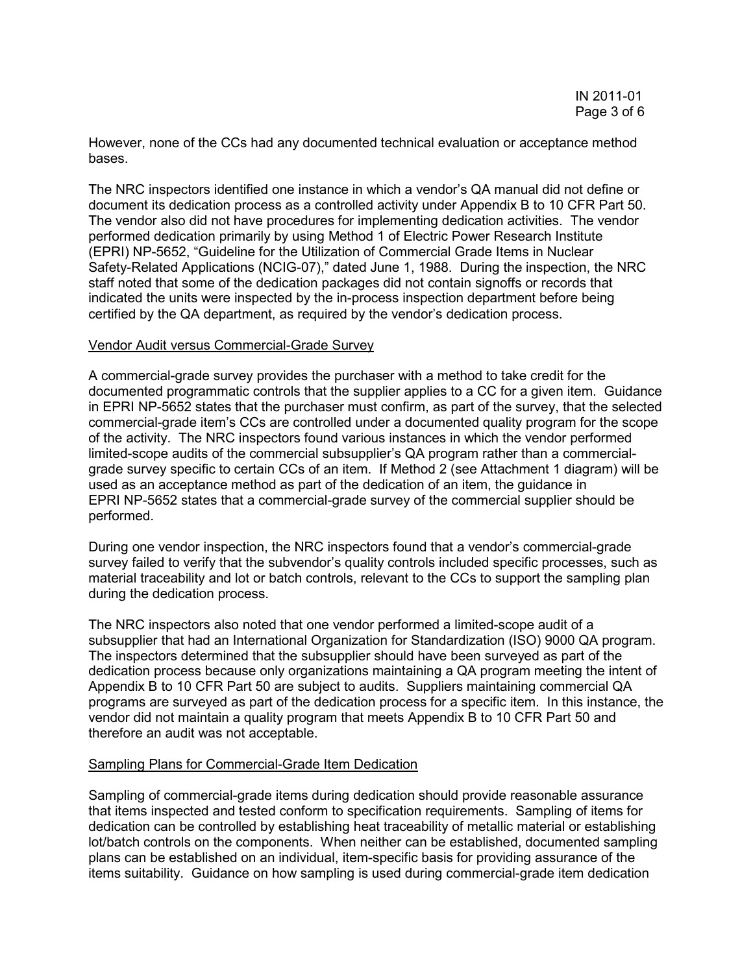However, none of the CCs had any documented technical evaluation or acceptance method bases.

The NRC inspectors identified one instance in which a vendor's QA manual did not define or document its dedication process as a controlled activity under Appendix B to 10 CFR Part 50. The vendor also did not have procedures for implementing dedication activities. The vendor performed dedication primarily by using Method 1 of Electric Power Research Institute (EPRI) NP-5652, "Guideline for the Utilization of Commercial Grade Items in Nuclear Safety-Related Applications (NCIG-07)," dated June 1, 1988. During the inspection, the NRC staff noted that some of the dedication packages did not contain signoffs or records that indicated the units were inspected by the in-process inspection department before being certified by the QA department, as required by the vendor's dedication process.

#### Vendor Audit versus Commercial-Grade Survey

A commercial-grade survey provides the purchaser with a method to take credit for the documented programmatic controls that the supplier applies to a CC for a given item. Guidance in EPRI NP-5652 states that the purchaser must confirm, as part of the survey, that the selected commercial-grade item's CCs are controlled under a documented quality program for the scope of the activity. The NRC inspectors found various instances in which the vendor performed limited-scope audits of the commercial subsupplier's QA program rather than a commercialgrade survey specific to certain CCs of an item. If Method 2 (see Attachment 1 diagram) will be used as an acceptance method as part of the dedication of an item, the guidance in EPRI NP-5652 states that a commercial-grade survey of the commercial supplier should be performed.

During one vendor inspection, the NRC inspectors found that a vendor's commercial-grade survey failed to verify that the subvendor's quality controls included specific processes, such as material traceability and lot or batch controls, relevant to the CCs to support the sampling plan during the dedication process.

The NRC inspectors also noted that one vendor performed a limited-scope audit of a subsupplier that had an International Organization for Standardization (ISO) 9000 QA program. The inspectors determined that the subsupplier should have been surveyed as part of the dedication process because only organizations maintaining a QA program meeting the intent of Appendix B to 10 CFR Part 50 are subject to audits. Suppliers maintaining commercial QA programs are surveyed as part of the dedication process for a specific item. In this instance, the vendor did not maintain a quality program that meets Appendix B to 10 CFR Part 50 and therefore an audit was not acceptable.

## Sampling Plans for Commercial-Grade Item Dedication

Sampling of commercial-grade items during dedication should provide reasonable assurance that items inspected and tested conform to specification requirements. Sampling of items for dedication can be controlled by establishing heat traceability of metallic material or establishing lot/batch controls on the components. When neither can be established, documented sampling plans can be established on an individual, item-specific basis for providing assurance of the items suitability. Guidance on how sampling is used during commercial-grade item dedication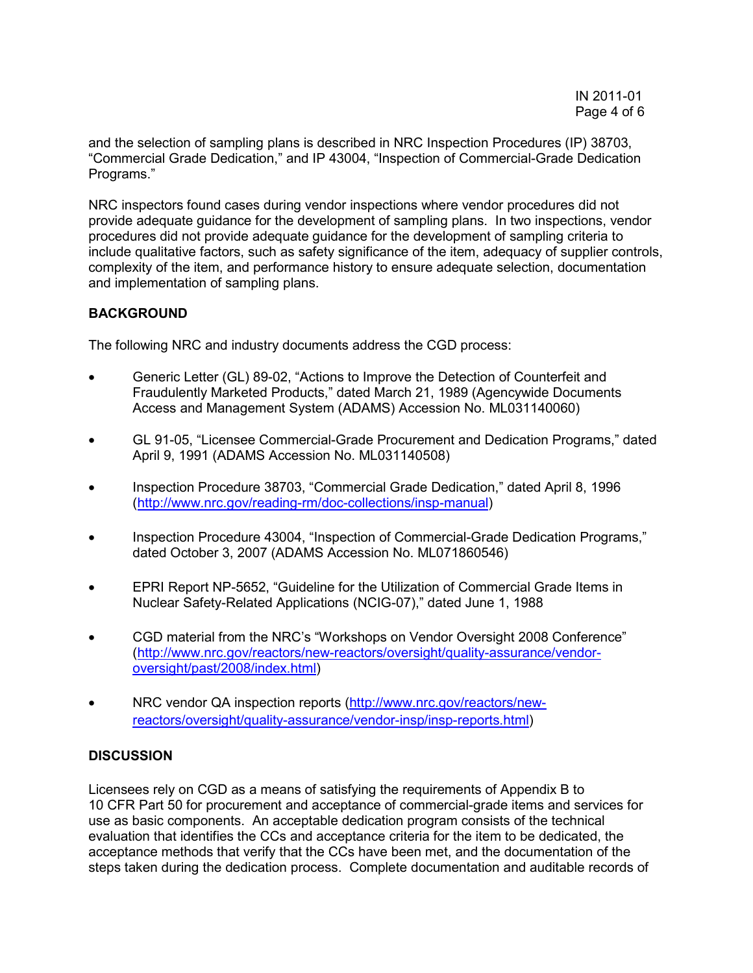and the selection of sampling plans is described in NRC Inspection Procedures (IP) 38703, "Commercial Grade Dedication," and IP 43004, "Inspection of Commercial-Grade Dedication Programs."

NRC inspectors found cases during vendor inspections where vendor procedures did not provide adequate guidance for the development of sampling plans. In two inspections, vendor procedures did not provide adequate guidance for the development of sampling criteria to include qualitative factors, such as safety significance of the item, adequacy of supplier controls, complexity of the item, and performance history to ensure adequate selection, documentation and implementation of sampling plans.

# **BACKGROUND**

The following NRC and industry documents address the CGD process:

- Generic Letter (GL) 89-02, "Actions to Improve the Detection of Counterfeit and Fraudulently Marketed Products," dated March 21, 1989 (Agencywide Documents Access and Management System (ADAMS) Accession No. ML031140060)
- GL 91-05, "Licensee Commercial-Grade Procurement and Dedication Programs," dated April 9, 1991 (ADAMS Accession No. ML031140508)
- Inspection Procedure 38703, "Commercial Grade Dedication," dated April 8, 1996 (http://www.nrc.gov/reading-rm/doc-collections/insp-manual)
- Inspection Procedure 43004, "Inspection of Commercial-Grade Dedication Programs," dated October 3, 2007 (ADAMS Accession No. ML071860546)
- EPRI Report NP-5652, "Guideline for the Utilization of Commercial Grade Items in Nuclear Safety-Related Applications (NCIG-07)," dated June 1, 1988
- CGD material from the NRC's "Workshops on Vendor Oversight 2008 Conference" (http://www.nrc.gov/reactors/new-reactors/oversight/quality-assurance/vendoroversight/past/2008/index.html)
- NRC vendor QA inspection reports (http://www.nrc.gov/reactors/newreactors/oversight/quality-assurance/vendor-insp/insp-reports.html)

# **DISCUSSION**

Licensees rely on CGD as a means of satisfying the requirements of Appendix B to 10 CFR Part 50 for procurement and acceptance of commercial-grade items and services for use as basic components. An acceptable dedication program consists of the technical evaluation that identifies the CCs and acceptance criteria for the item to be dedicated, the acceptance methods that verify that the CCs have been met, and the documentation of the steps taken during the dedication process. Complete documentation and auditable records of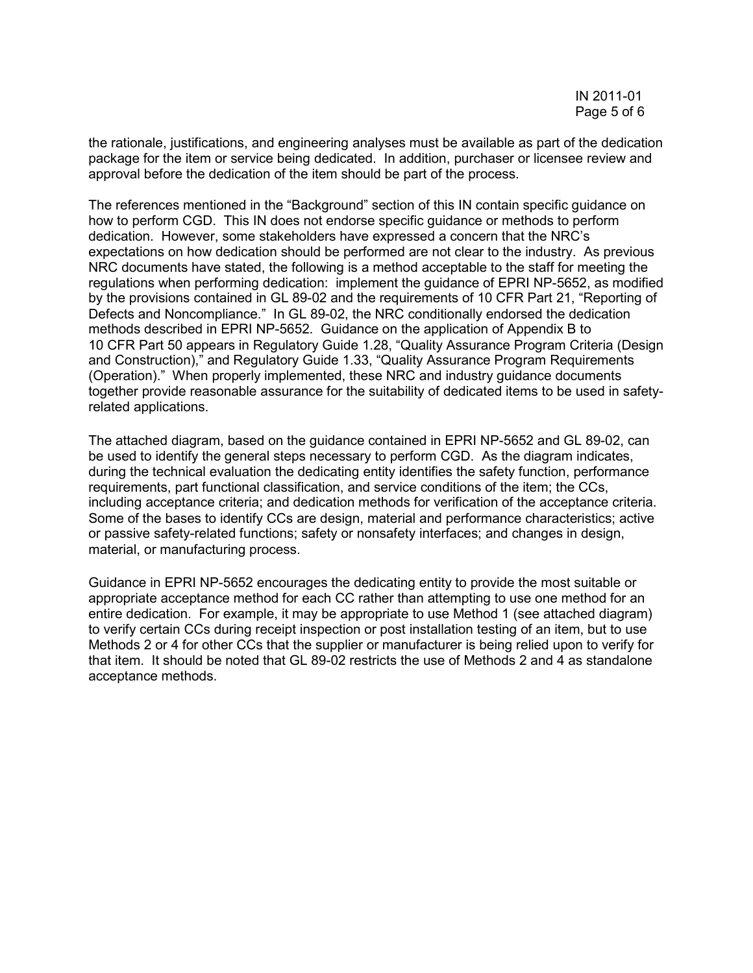the rationale, justifications, and engineering analyses must be available as part of the dedication package for the item or service being dedicated. In addition, purchaser or licensee review and approval before the dedication of the item should be part of the process.

The references mentioned in the "Background" section of this IN contain specific guidance on how to perform CGD. This IN does not endorse specific guidance or methods to perform dedication. However, some stakeholders have expressed a concern that the NRC's expectations on how dedication should be performed are not clear to the industry. As previous NRC documents have stated, the following is a method acceptable to the staff for meeting the regulations when performing dedication: implement the guidance of EPRI NP-5652, as modified by the provisions contained in GL 89-02 and the requirements of 10 CFR Part 21, "Reporting of Defects and Noncompliance." In GL 89-02, the NRC conditionally endorsed the dedication methods described in EPRI NP-5652. Guidance on the application of Appendix B to 10 CFR Part 50 appears in Regulatory Guide 1.28, "Quality Assurance Program Criteria (Design and Construction)," and Regulatory Guide 1.33, "Quality Assurance Program Requirements (Operation)." When properly implemented, these NRC and industry guidance documents together provide reasonable assurance for the suitability of dedicated items to be used in safetyrelated applications.

The attached diagram, based on the guidance contained in EPRI NP-5652 and GL 89-02, can be used to identify the general steps necessary to perform CGD. As the diagram indicates, during the technical evaluation the dedicating entity identifies the safety function, performance requirements, part functional classification, and service conditions of the item; the CCs, including acceptance criteria; and dedication methods for verification of the acceptance criteria. Some of the bases to identify CCs are design, material and performance characteristics; active or passive safety-related functions; safety or nonsafety interfaces; and changes in design, material, or manufacturing process.

Guidance in EPRI NP-5652 encourages the dedicating entity to provide the most suitable or appropriate acceptance method for each CC rather than attempting to use one method for an entire dedication. For example, it may be appropriate to use Method 1 (see attached diagram) to verify certain CCs during receipt inspection or post installation testing of an item, but to use Methods 2 or 4 for other CCs that the supplier or manufacturer is being relied upon to verify for that item. It should be noted that GL 89-02 restricts the use of Methods 2 and 4 as standalone acceptance methods.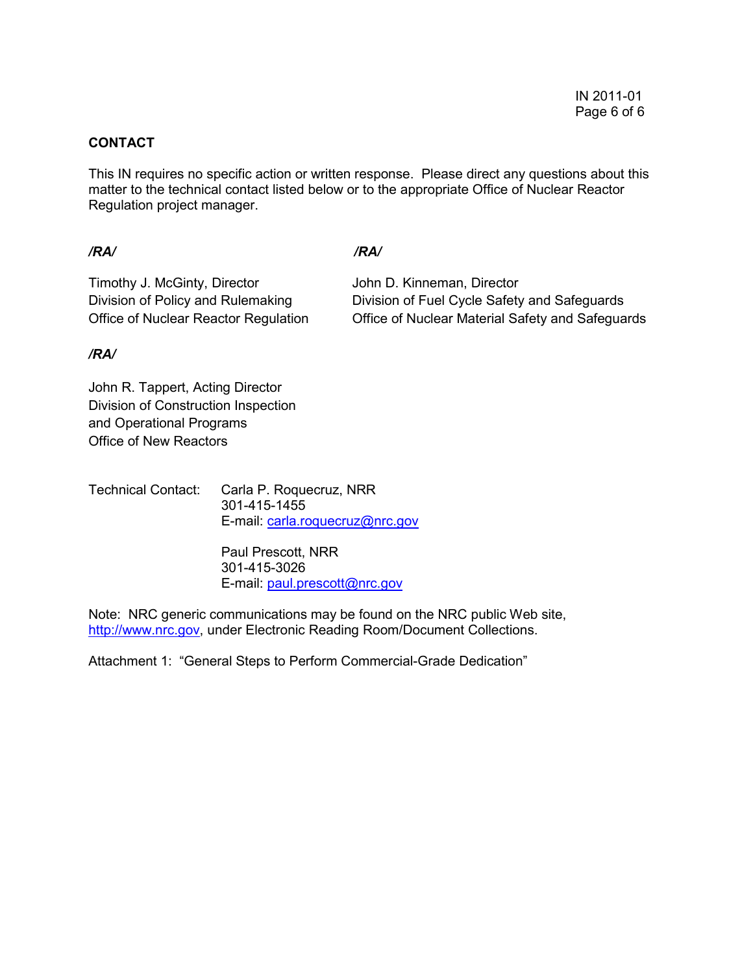## **CONTACT**

This IN requires no specific action or written response. Please direct any questions about this matter to the technical contact listed below or to the appropriate Office of Nuclear Reactor Regulation project manager.

## */RA/ /RA/*

Timothy J. McGinty, Director **John D. Kinneman, Director** 

Division of Policy and Rulemaking Division of Fuel Cycle Safety and Safeguards Office of Nuclear Reactor Regulation Office of Nuclear Material Safety and Safeguards

# */RA/*

John R. Tappert, Acting Director Division of Construction Inspection and Operational Programs Office of New Reactors

Technical Contact: Carla P. Roquecruz, NRR 301-415-1455 E-mail: carla.roquecruz@nrc.gov

> Paul Prescott, NRR 301-415-3026 E-mail: paul.prescott@nrc.gov

Note: NRC generic communications may be found on the NRC public Web site, http://www.nrc.gov, under Electronic Reading Room/Document Collections.

Attachment 1: "General Steps to Perform Commercial-Grade Dedication"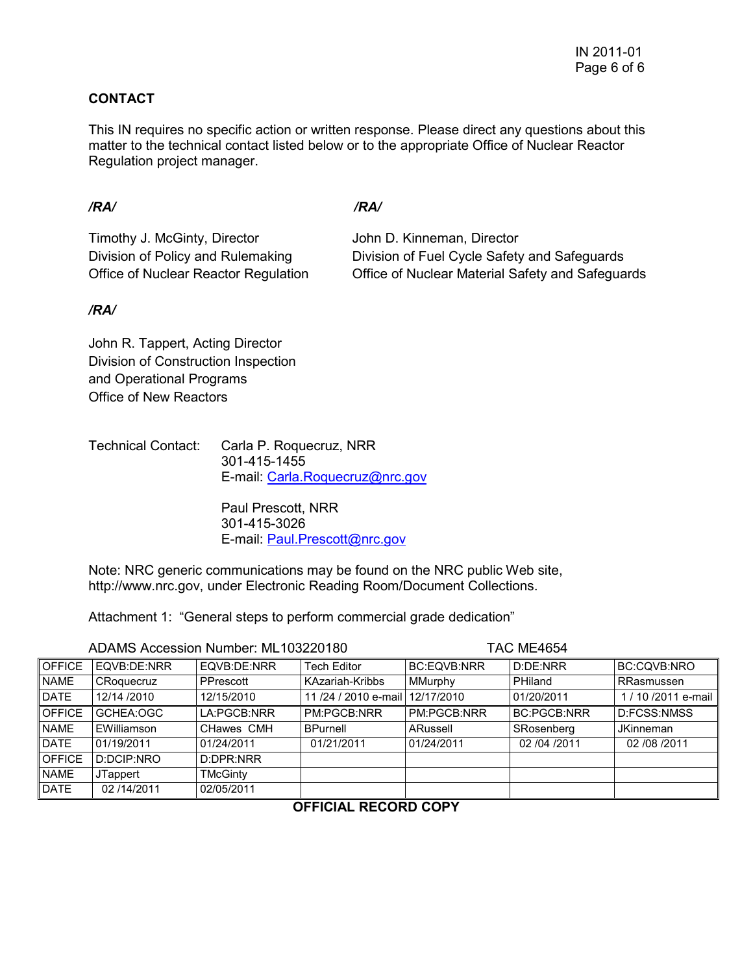# **CONTACT**

This IN requires no specific action or written response. Please direct any questions about this matter to the technical contact listed below or to the appropriate Office of Nuclear Reactor Regulation project manager.

# */RA/ /RA/*

Timothy J. McGinty, Director **John D. Kinneman, Director** 

Division of Policy and Rulemaking Division of Fuel Cycle Safety and Safeguards Office of Nuclear Reactor Regulation Office of Nuclear Material Safety and Safeguards

# */RA/*

John R. Tappert, Acting Director Division of Construction Inspection and Operational Programs Office of New Reactors

| <b>Technical Contact:</b> | Carla P. Roquecruz, NRR         |  |  |
|---------------------------|---------------------------------|--|--|
|                           | 301-415-1455                    |  |  |
|                           | E-mail: Carla.Roguecruz@nrc.gov |  |  |

Paul Prescott, NRR 301-415-3026 E-mail: Paul.Prescott@nrc.gov

Note: NRC generic communications may be found on the NRC public Web site, http://www.nrc.gov, under Electronic Reading Room/Document Collections.

Attachment 1: "General steps to perform commercial grade dedication"

| ADAMS Accession Number: ML103220180 |                 |             | <b>TAC ME4654</b>            |                    |                    |                    |
|-------------------------------------|-----------------|-------------|------------------------------|--------------------|--------------------|--------------------|
| <b>OFFICE</b>                       | EQVB:DE:NRR     | EQVB:DE:NRR | <b>Tech Editor</b>           | <b>BC:EQVB:NRR</b> | D:DE:NRR           | BC:CQVB:NRO        |
| <b>NAME</b>                         | CRoquecruz      | PPrescott   | <b>KAzariah-Kribbs</b>       | MMurphy            | PHiland            | RRasmussen         |
| <b>DATE</b>                         | 12/14 /2010     | 12/15/2010  | 11/24/2010 e-mail 12/17/2010 |                    | 01/20/2011         | 1/10/2011 e-mail I |
| <b>OFFICE</b>                       | GCHEA:OGC       | LA:PGCB:NRR | PM:PGCB:NRR                  | PM:PGCB:NRR        | <b>BC:PGCB:NRR</b> | D:FCSS:NMSS        |
| <b>NAME</b>                         | EWilliamson     | CHawes CMH  | BPurnell                     | ARussell           | SRosenberg         | <b>JKinneman</b>   |
| <b>DATE</b>                         | 01/19/2011      | 01/24/2011  | 01/21/2011                   | 01/24/2011         | 02 /04 /2011       | 02 / 08 / 2011     |
| <b>OFFICE</b>                       | D:DCIP:NRO      | D:DPR:NRR   |                              |                    |                    |                    |
| <b>NAME</b>                         | <b>JTappert</b> | TMcGinty    |                              |                    |                    |                    |
| <b>DATE</b>                         | 02/14/2011      | 02/05/2011  |                              |                    |                    |                    |

**OFFICIAL RECORD COPY**